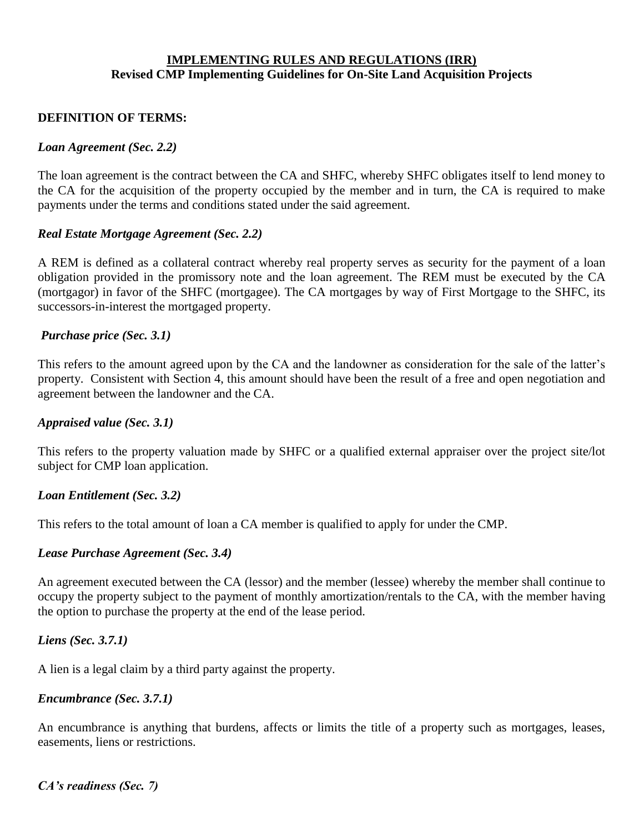## **IMPLEMENTING RULES AND REGULATIONS (IRR) Revised CMP Implementing Guidelines for On-Site Land Acquisition Projects**

#### **DEFINITION OF TERMS:**

#### *Loan Agreement (Sec. 2.2)*

The loan agreement is the contract between the CA and SHFC, whereby SHFC obligates itself to lend money to the CA for the acquisition of the property occupied by the member and in turn, the CA is required to make payments under the terms and conditions stated under the said agreement.

#### *Real Estate Mortgage Agreement (Sec. 2.2)*

A REM is defined as a collateral contract whereby real property serves as security for the payment of a loan obligation provided in the promissory note and the loan agreement. The REM must be executed by the CA (mortgagor) in favor of the SHFC (mortgagee). The CA mortgages by way of First Mortgage to the SHFC, its successors-in-interest the mortgaged property.

#### *Purchase price (Sec. 3.1)*

This refers to the amount agreed upon by the CA and the landowner as consideration for the sale of the latter's property. Consistent with Section 4, this amount should have been the result of a free and open negotiation and agreement between the landowner and the CA.

#### *Appraised value (Sec. 3.1)*

This refers to the property valuation made by SHFC or a qualified external appraiser over the project site/lot subject for CMP loan application.

#### *Loan Entitlement (Sec. 3.2)*

This refers to the total amount of loan a CA member is qualified to apply for under the CMP.

#### *Lease Purchase Agreement (Sec. 3.4)*

An agreement executed between the CA (lessor) and the member (lessee) whereby the member shall continue to occupy the property subject to the payment of monthly amortization/rentals to the CA, with the member having the option to purchase the property at the end of the lease period.

#### *Liens (Sec. 3.7.1)*

A lien is a legal claim by a third party against the property.

#### *Encumbrance (Sec. 3.7.1)*

An encumbrance is anything that burdens, affects or limits the title of a property such as mortgages, leases, easements, liens or restrictions.

*CA's readiness (Sec. 7)*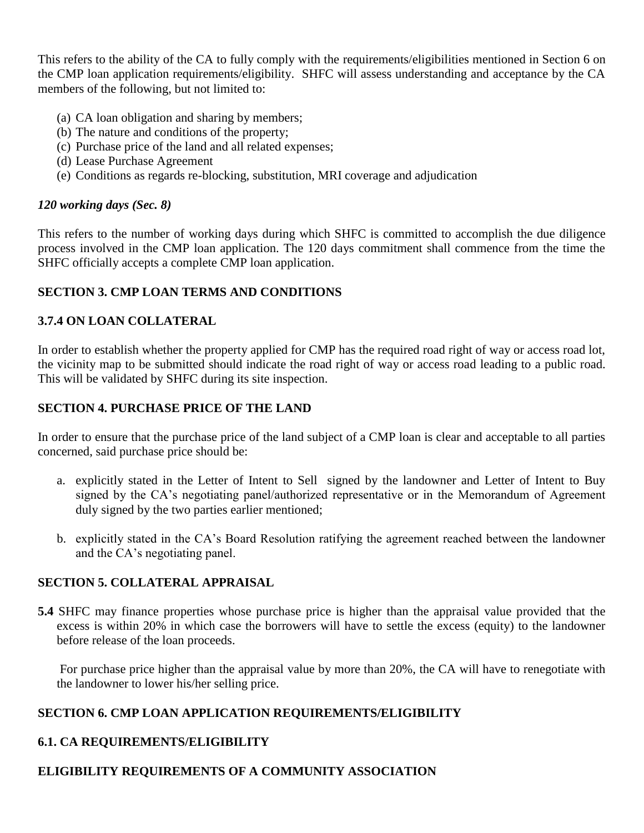This refers to the ability of the CA to fully comply with the requirements/eligibilities mentioned in Section 6 on the CMP loan application requirements/eligibility. SHFC will assess understanding and acceptance by the CA members of the following, but not limited to:

- (a) CA loan obligation and sharing by members;
- (b) The nature and conditions of the property;
- (c) Purchase price of the land and all related expenses;
- (d) Lease Purchase Agreement
- (e) Conditions as regards re-blocking, substitution, MRI coverage and adjudication

#### *120 working days (Sec. 8)*

This refers to the number of working days during which SHFC is committed to accomplish the due diligence process involved in the CMP loan application. The 120 days commitment shall commence from the time the SHFC officially accepts a complete CMP loan application.

## **SECTION 3. CMP LOAN TERMS AND CONDITIONS**

## **3.7.4 ON LOAN COLLATERAL**

In order to establish whether the property applied for CMP has the required road right of way or access road lot, the vicinity map to be submitted should indicate the road right of way or access road leading to a public road. This will be validated by SHFC during its site inspection.

#### **SECTION 4. PURCHASE PRICE OF THE LAND**

In order to ensure that the purchase price of the land subject of a CMP loan is clear and acceptable to all parties concerned, said purchase price should be:

- a. explicitly stated in the Letter of Intent to Sell signed by the landowner and Letter of Intent to Buy signed by the CA's negotiating panel/authorized representative or in the Memorandum of Agreement duly signed by the two parties earlier mentioned;
- b. explicitly stated in the CA's Board Resolution ratifying the agreement reached between the landowner and the CA's negotiating panel.

## **SECTION 5. COLLATERAL APPRAISAL**

**5.4** SHFC may finance properties whose purchase price is higher than the appraisal value provided that the excess is within 20% in which case the borrowers will have to settle the excess (equity) to the landowner before release of the loan proceeds.

 For purchase price higher than the appraisal value by more than 20%, the CA will have to renegotiate with the landowner to lower his/her selling price.

## **SECTION 6. CMP LOAN APPLICATION REQUIREMENTS/ELIGIBILITY**

## **6.1. CA REQUIREMENTS/ELIGIBILITY**

# **ELIGIBILITY REQUIREMENTS OF A COMMUNITY ASSOCIATION**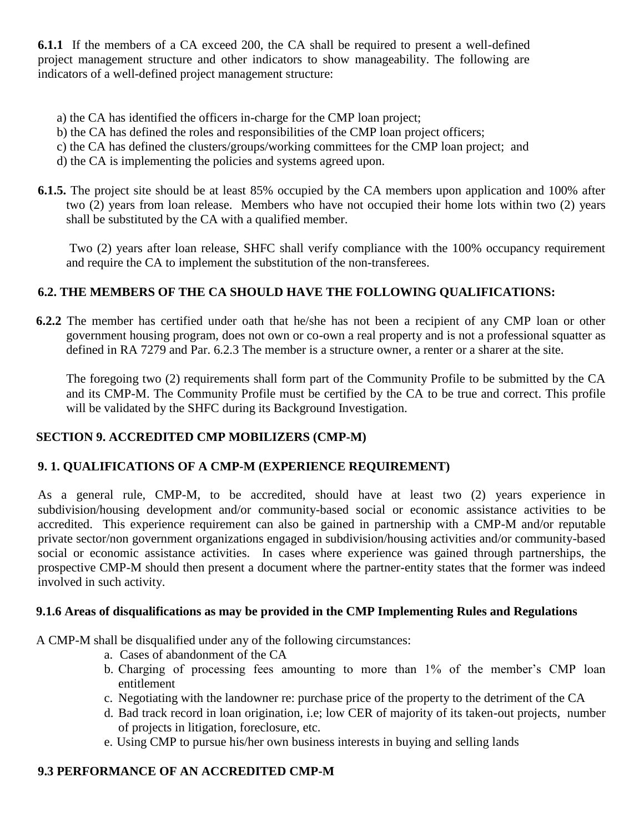**6.1.1** If the members of a CA exceed 200, the CA shall be required to present a well-defined project management structure and other indicators to show manageability. The following are indicators of a well-defined project management structure:

- a) the CA has identified the officers in-charge for the CMP loan project;
- b) the CA has defined the roles and responsibilities of the CMP loan project officers;
- c) the CA has defined the clusters/groups/working committees for the CMP loan project; and
- d) the CA is implementing the policies and systems agreed upon.
- **6.1.5.** The project site should be at least 85% occupied by the CA members upon application and 100% after two (2) years from loan release. Members who have not occupied their home lots within two (2) years shall be substituted by the CA with a qualified member.

 Two (2) years after loan release, SHFC shall verify compliance with the 100% occupancy requirement and require the CA to implement the substitution of the non-transferees.

# **6.2. THE MEMBERS OF THE CA SHOULD HAVE THE FOLLOWING QUALIFICATIONS:**

 **6.2.2** The member has certified under oath that he/she has not been a recipient of any CMP loan or other government housing program, does not own or co-own a real property and is not a professional squatter as defined in RA 7279 and Par. 6.2.3 The member is a structure owner, a renter or a sharer at the site.

The foregoing two (2) requirements shall form part of the Community Profile to be submitted by the CA and its CMP-M. The Community Profile must be certified by the CA to be true and correct. This profile will be validated by the SHFC during its Background Investigation.

# **SECTION 9. ACCREDITED CMP MOBILIZERS (CMP-M)**

# **9. 1. QUALIFICATIONS OF A CMP-M (EXPERIENCE REQUIREMENT)**

As a general rule, CMP-M, to be accredited, should have at least two (2) years experience in subdivision/housing development and/or community-based social or economic assistance activities to be accredited. This experience requirement can also be gained in partnership with a CMP-M and/or reputable private sector/non government organizations engaged in subdivision/housing activities and/or community-based social or economic assistance activities. In cases where experience was gained through partnerships, the prospective CMP-M should then present a document where the partner-entity states that the former was indeed involved in such activity.

## **9.1.6 Areas of disqualifications as may be provided in the CMP Implementing Rules and Regulations**

A CMP-M shall be disqualified under any of the following circumstances:

- a. Cases of abandonment of the CA
- b. Charging of processing fees amounting to more than 1% of the member's CMP loan entitlement
- c. Negotiating with the landowner re: purchase price of the property to the detriment of the CA
- d. Bad track record in loan origination, i.e; low CER of majority of its taken-out projects, number of projects in litigation, foreclosure, etc.
- e. Using CMP to pursue his/her own business interests in buying and selling lands

# **9.3 PERFORMANCE OF AN ACCREDITED CMP-M**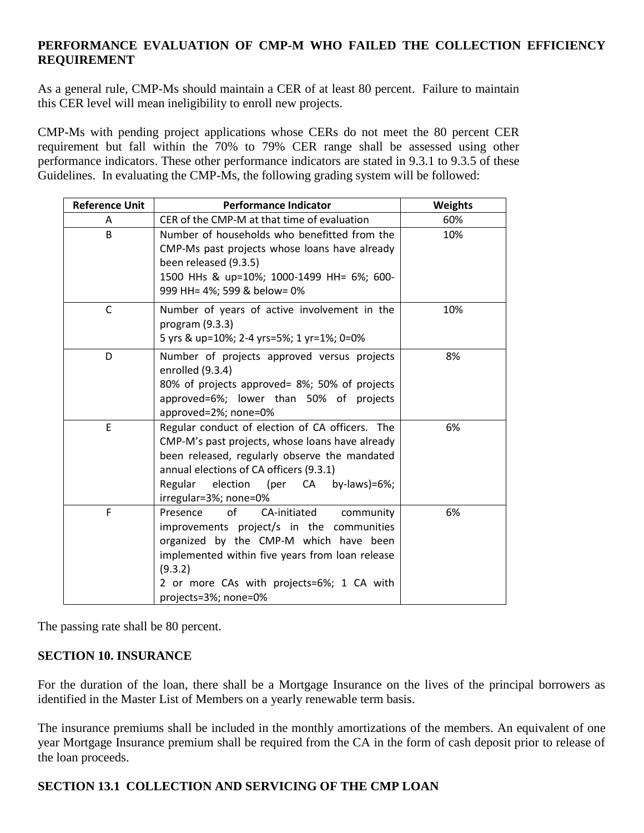## **PERFORMANCE EVALUATION OF CMP-M WHO FAILED THE COLLECTION EFFICIENCY REQUIREMENT**

As a general rule, CMP-Ms should maintain a CER of at least 80 percent. Failure to maintain this CER level will mean ineligibility to enroll new projects.

CMP-Ms with pending project applications whose CERs do not meet the 80 percent CER requirement but fall within the 70% to 79% CER range shall be assessed using other performance indicators. These other performance indicators are stated in 9.3.1 to 9.3.5 of these Guidelines. In evaluating the CMP-Ms, the following grading system will be followed:

| <b>Reference Unit</b> | <b>Performance Indicator</b>                                                                                                                                                                                                                                                | <b>Weights</b> |
|-----------------------|-----------------------------------------------------------------------------------------------------------------------------------------------------------------------------------------------------------------------------------------------------------------------------|----------------|
| A                     | CER of the CMP-M at that time of evaluation                                                                                                                                                                                                                                 | 60%            |
| B                     | Number of households who benefitted from the<br>CMP-Ms past projects whose loans have already<br>been released (9.3.5)<br>1500 HHs & up=10%; 1000-1499 HH= 6%; 600-<br>999 HH= 4%; 599 & below= 0%                                                                          | 10%            |
| C                     | Number of years of active involvement in the<br>program $(9.3.3)$<br>5 yrs & up=10%; 2-4 yrs=5%; 1 yr=1%; 0=0%                                                                                                                                                              | 10%            |
| D                     | Number of projects approved versus projects<br>enrolled (9.3.4)<br>80% of projects approved= 8%; 50% of projects<br>approved=6%; lower than 50% of projects<br>approved=2%; none=0%                                                                                         | 8%             |
| E                     | Regular conduct of election of CA officers. The<br>CMP-M's past projects, whose loans have already<br>been released, regularly observe the mandated<br>annual elections of CA officers (9.3.1)<br>election (per CA<br>Regular<br>by-laws)= $6\%$ ;<br>irregular=3%; none=0% | 6%             |
| F                     | of<br>Presence<br>CA-initiated<br>community<br>improvements project/s in the communities<br>organized by the CMP-M which have been<br>implemented within five years from loan release<br>(9.3.2)<br>2 or more CAs with projects=6%; 1 CA with<br>projects=3%; none=0%       | 6%             |

The passing rate shall be 80 percent.

## **SECTION 10. INSURANCE**

For the duration of the loan, there shall be a Mortgage Insurance on the lives of the principal borrowers as identified in the Master List of Members on a yearly renewable term basis.

The insurance premiums shall be included in the monthly amortizations of the members. An equivalent of one year Mortgage Insurance premium shall be required from the CA in the form of cash deposit prior to release of the loan proceeds.

## **SECTION 13.1 COLLECTION AND SERVICING OF THE CMP LOAN**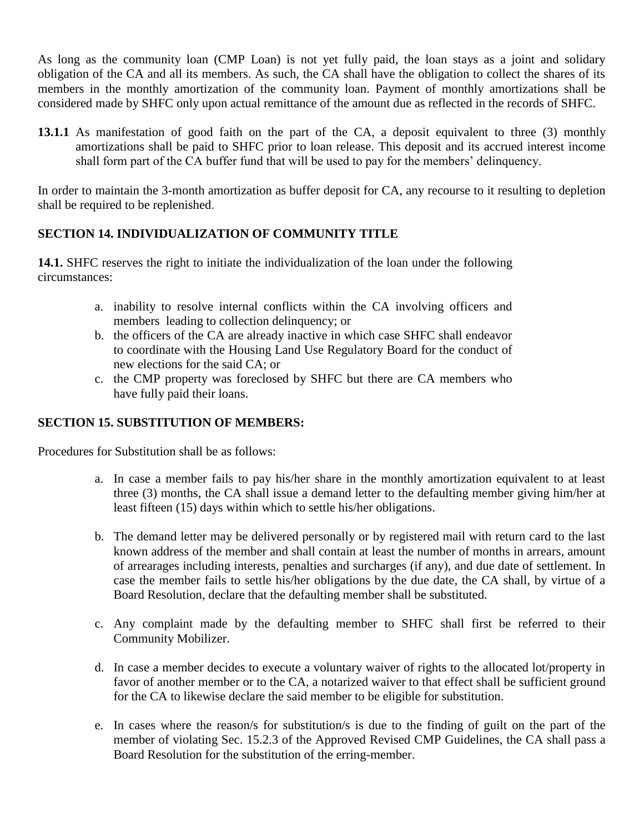As long as the community loan (CMP Loan) is not yet fully paid, the loan stays as a joint and solidary obligation of the CA and all its members. As such, the CA shall have the obligation to collect the shares of its members in the monthly amortization of the community loan. Payment of monthly amortizations shall be considered made by SHFC only upon actual remittance of the amount due as reflected in the records of SHFC.

**13.1.1** As manifestation of good faith on the part of the CA, a deposit equivalent to three (3) monthly amortizations shall be paid to SHFC prior to loan release. This deposit and its accrued interest income shall form part of the CA buffer fund that will be used to pay for the members' delinquency.

In order to maintain the 3-month amortization as buffer deposit for CA, any recourse to it resulting to depletion shall be required to be replenished.

# **SECTION 14. INDIVIDUALIZATION OF COMMUNITY TITLE**

**14.1.** SHFC reserves the right to initiate the individualization of the loan under the following circumstances:

- a. inability to resolve internal conflicts within the CA involving officers and members leading to collection delinquency; or
- b. the officers of the CA are already inactive in which case SHFC shall endeavor to coordinate with the Housing Land Use Regulatory Board for the conduct of new elections for the said CA; or
- c. the CMP property was foreclosed by SHFC but there are CA members who have fully paid their loans.

## **SECTION 15. SUBSTITUTION OF MEMBERS:**

Procedures for Substitution shall be as follows:

- a. In case a member fails to pay his/her share in the monthly amortization equivalent to at least three (3) months, the CA shall issue a demand letter to the defaulting member giving him/her at least fifteen (15) days within which to settle his/her obligations.
- b. The demand letter may be delivered personally or by registered mail with return card to the last known address of the member and shall contain at least the number of months in arrears, amount of arrearages including interests, penalties and surcharges (if any), and due date of settlement. In case the member fails to settle his/her obligations by the due date, the CA shall, by virtue of a Board Resolution, declare that the defaulting member shall be substituted.
- c. Any complaint made by the defaulting member to SHFC shall first be referred to their Community Mobilizer.
- d. In case a member decides to execute a voluntary waiver of rights to the allocated lot/property in favor of another member or to the CA, a notarized waiver to that effect shall be sufficient ground for the CA to likewise declare the said member to be eligible for substitution.
- e. In cases where the reason/s for substitution/s is due to the finding of guilt on the part of the member of violating Sec. 15.2.3 of the Approved Revised CMP Guidelines, the CA shall pass a Board Resolution for the substitution of the erring-member.